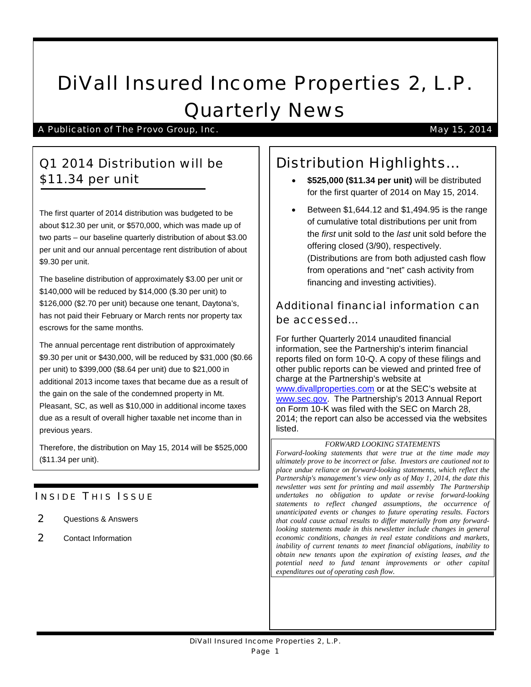# DiVall Insured Income Properties 2, L.P. Quarterly News

A Publication of The Provo Group, Inc. May 15, 2014

# Q1 2014 Distribution will be \$11.34 per unit

The first quarter of 2014 distribution was budgeted to be about \$12.30 per unit, or \$570,000, which was made up of two parts – our baseline quarterly distribution of about \$3.00 per unit and our annual percentage rent distribution of about \$9.30 per unit.

The baseline distribution of approximately \$3.00 per unit or \$140,000 will be reduced by \$14,000 (\$.30 per unit) to \$126,000 (\$2.70 per unit) because one tenant, Daytona's, has not paid their February or March rents nor property tax escrows for the same months.

The annual percentage rent distribution of approximately \$9.30 per unit or \$430,000, will be reduced by \$31,000 (\$0.66 per unit) to \$399,000 (\$8.64 per unit) due to \$21,000 in additional 2013 income taxes that became due as a result of the gain on the sale of the condemned property in Mt. Pleasant, SC, as well as \$10,000 in additional income taxes due as a result of overall higher taxable net income than in previous years.

Therefore, the distribution on May 15, 2014 will be \$525,000 (\$11.34 per unit).

### **INSIDE THIS ISSUE**

- 2 Questions & Answers
- 2 Contact Information

# Distribution Highlights…

- **\$525,000 (\$11.34 per unit)** will be distributed for the first quarter of 2014 on May 15, 2014.
- Between \$1,644.12 and \$1,494.95 is the range of cumulative total distributions per unit from the *first* unit sold to the *last* unit sold before the offering closed (3/90), respectively. (Distributions are from both adjusted cash flow from operations and "net" cash activity from financing and investing activities).

## Additional financial information can be accessed…

For further Quarterly 2014 unaudited financial information, see the Partnership's interim financial reports filed on form 10-Q. A copy of these filings and other public reports can be viewed and printed free of charge at the Partnership's website at [www.divallproperties.com](http://www.divallproperties.com/) or at the SEC's website at [www.sec.gov.](http://www.sec.gov/) The Partnership's 2013 Annual Report on Form 10-K was filed with the SEC on March 28, 2014; the report can also be accessed via the websites listed.

#### *FORWARD LOOKING STATEMENTS*

*Forward-looking statements that were true at the time made may ultimately prove to be incorrect or false. Investors are cautioned not to place undue reliance on forward-looking statements, which reflect the Partnership's management's view only as of May 1, 2014, the date this newsletter was sent for printing and mail assembly The Partnership undertakes no obligation to update or revise forward-looking statements to reflect changed assumptions, the occurrence of unanticipated events or changes to future operating results. Factors that could cause actual results to differ materially from any forwardlooking statements made in this newsletter include changes in general economic conditions, changes in real estate conditions and markets, inability of current tenants to meet financial obligations, inability to obtain new tenants upon the expiration of existing leases, and the potential need to fund tenant improvements or other capital expenditures out of operating cash flow.*